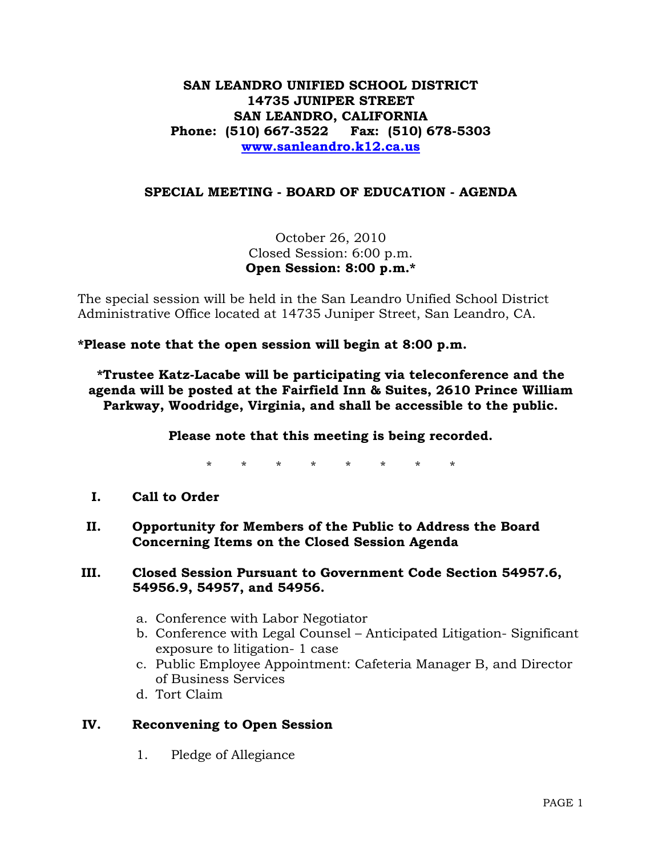### **SAN LEANDRO UNIFIED SCHOOL DISTRICT 14735 JUNIPER STREET SAN LEANDRO, CALIFORNIA Phone: (510) 667-3522 Fax: (510) 678-5303 [www.sanleandro.k12.ca.us](http://www.sanleandro.k12.ca.us/)**

### **SPECIAL MEETING - BOARD OF EDUCATION - AGENDA**

October 26, 2010 Closed Session: 6:00 p.m. **Open Session: 8:00 p.m.\*** 

The special session will be held in the San Leandro Unified School District Administrative Office located at 14735 Juniper Street, San Leandro, CA.

### **\*Please note that the open session will begin at 8:00 p.m.**

**\*Trustee Katz-Lacabe will be participating via teleconference and the agenda will be posted at the Fairfield Inn & Suites, 2610 Prince William Parkway, Woodridge, Virginia, and shall be accessible to the public.** 

#### **Please note that this meeting is being recorded.**

\* \* \* \* \* \* \* \*

- **I. Call to Order**
- **II. Opportunity for Members of the Public to Address the Board Concerning Items on the Closed Session Agenda**

#### **III. Closed Session Pursuant to Government Code Section 54957.6, 54956.9, 54957, and 54956.**

- a. Conference with Labor Negotiator
- b. Conference with Legal Counsel Anticipated Litigation- Significant exposure to litigation- 1 case
- c. Public Employee Appointment: Cafeteria Manager B, and Director of Business Services
- d. Tort Claim

#### **IV. Reconvening to Open Session**

1. Pledge of Allegiance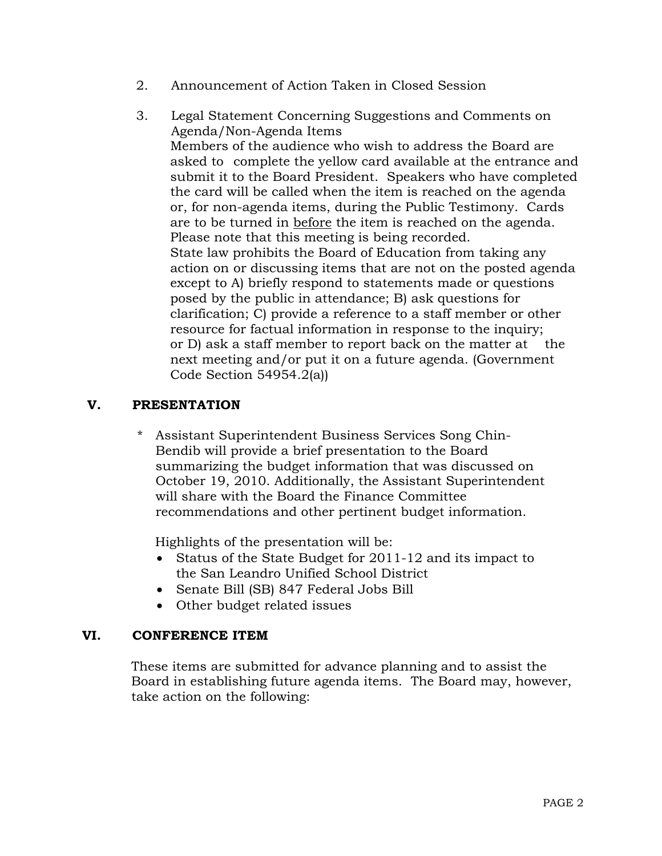- 2. Announcement of Action Taken in Closed Session
- 3. Legal Statement Concerning Suggestions and Comments on Agenda/Non-Agenda Items Members of the audience who wish to address the Board are asked to complete the yellow card available at the entrance and submit it to the Board President. Speakers who have completed the card will be called when the item is reached on the agenda or, for non-agenda items, during the Public Testimony. Cards are to be turned in before the item is reached on the agenda. Please note that this meeting is being recorded. State law prohibits the Board of Education from taking any action on or discussing items that are not on the posted agenda except to A) briefly respond to statements made or questions posed by the public in attendance; B) ask questions for clarification; C) provide a reference to a staff member or other resource for factual information in response to the inquiry; or D) ask a staff member to report back on the matter at the next meeting and/or put it on a future agenda. (Government Code Section 54954.2(a))

# **V. PRESENTATION**

Assistant Superintendent Business Services Song Chin- Bendib will provide a brief presentation to the Board summarizing the budget information that was discussed on October 19, 2010. Additionally, the Assistant Superintendent will share with the Board the Finance Committee recommendations and other pertinent budget information.

Highlights of the presentation will be:

- Status of the State Budget for 2011-12 and its impact to the San Leandro Unified School District
- Senate Bill (SB) 847 Federal Jobs Bill
- Other budget related issues

### **VI. CONFERENCE ITEM**

These items are submitted for advance planning and to assist the Board in establishing future agenda items. The Board may, however, take action on the following: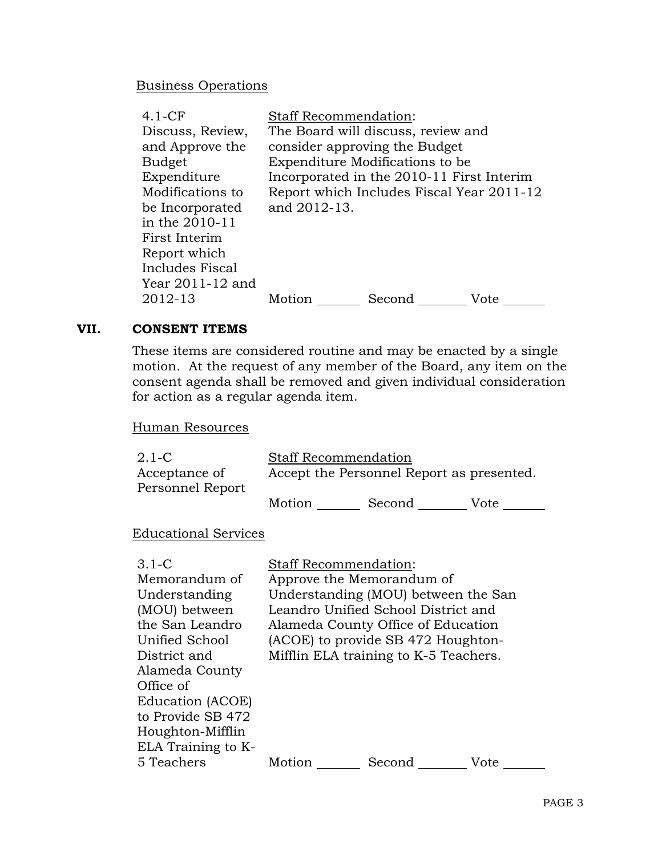# Business Operations

| $4.1 - CF$       | <b>Staff Recommendation:</b>              |        |      |  |
|------------------|-------------------------------------------|--------|------|--|
| Discuss, Review, | The Board will discuss, review and        |        |      |  |
| and Approve the  | consider approving the Budget             |        |      |  |
| Budget           | Expenditure Modifications to be           |        |      |  |
| Expenditure      | Incorporated in the 2010-11 First Interim |        |      |  |
| Modifications to | Report which Includes Fiscal Year 2011-12 |        |      |  |
| be Incorporated  | and 2012-13.                              |        |      |  |
| in the 2010-11   |                                           |        |      |  |
| First Interim    |                                           |        |      |  |
| Report which     |                                           |        |      |  |
| Includes Fiscal  |                                           |        |      |  |
| Year 2011-12 and |                                           |        |      |  |
| 2012-13          | Motion                                    | Second | Vote |  |

### **VII. CONSENT ITEMS**

These items are considered routine and may be enacted by a single motion. At the request of any member of the Board, any item on the consent agenda shall be removed and given individual consideration for action as a regular agenda item.

Human Resources

| $2.1-C$                           | <b>Staff Recommendation</b><br>Accept the Personnel Report as presented. |        |      |  |
|-----------------------------------|--------------------------------------------------------------------------|--------|------|--|
| Acceptance of<br>Personnel Report |                                                                          |        |      |  |
|                                   | Motion                                                                   | Second | Vote |  |
| <b>Educational Services</b>       |                                                                          |        |      |  |
| $\Omega$ 1 $\Omega$               | $Q_{\text{tot}}$ $\Omega$ December on detication                         |        |      |  |

| $3.1-C$            | <b>Staff Recommendation:</b>          |        |      |  |
|--------------------|---------------------------------------|--------|------|--|
| Memorandum of      | Approve the Memorandum of             |        |      |  |
| Understanding      | Understanding (MOU) between the San   |        |      |  |
| (MOU) between      | Leandro Unified School District and   |        |      |  |
| the San Leandro    | Alameda County Office of Education    |        |      |  |
| Unified School     | (ACOE) to provide SB 472 Houghton-    |        |      |  |
| District and       | Mifflin ELA training to K-5 Teachers. |        |      |  |
| Alameda County     |                                       |        |      |  |
| Office of          |                                       |        |      |  |
| Education (ACOE)   |                                       |        |      |  |
| to Provide SB 472  |                                       |        |      |  |
| Houghton-Mifflin   |                                       |        |      |  |
| ELA Training to K- |                                       |        |      |  |
| 5 Teachers         | Motion                                | Second | Vote |  |